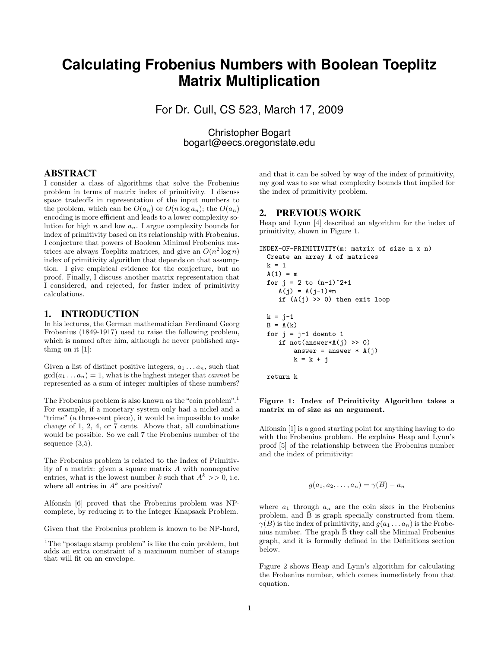# **Calculating Frobenius Numbers with Boolean Toeplitz Matrix Multiplication**

For Dr. Cull, CS 523, March 17, 2009

Christopher Bogart bogart@eecs.oregonstate.edu

## ABSTRACT

I consider a class of algorithms that solve the Frobenius problem in terms of matrix index of primitivity. I discuss space tradeoffs in representation of the input numbers to the problem, which can be  $O(a_n)$  or  $O(n \log a_n)$ ; the  $O(a_n)$ encoding is more efficient and leads to a lower complexity solution for high n and low  $a_n$ . I argue complexity bounds for index of primitivity based on its relationship with Frobenius. I conjecture that powers of Boolean Minimal Frobenius matrices are always Toeplitz matrices, and give an  $O(n^2 \log n)$ index of primitivity algorithm that depends on that assumption. I give empirical evidence for the conjecture, but no proof. Finally, I discuss another matrix representation that I considered, and rejected, for faster index of primitivity calculations.

# 1. INTRODUCTION

In his lectures, the German mathematician Ferdinand Georg Frobenius (1849-1917) used to raise the following problem, which is named after him, although he never published anything on it [1]:

Given a list of distinct positive integers,  $a_1 \ldots a_n$ , such that  $gcd(a_1 \ldots a_n) = 1$ , what is the highest integer that *cannot* be represented as a sum of integer multiples of these numbers?

The Frobenius problem is also known as the "coin problem".<sup>1</sup> For example, if a monetary system only had a nickel and a "trime" (a three-cent piece), it would be impossible to make change of 1, 2, 4, or 7 cents. Above that, all combinations would be possible. So we call 7 the Frobenius number of the sequence (3,5).

The Frobenius problem is related to the Index of Primitivity of a matrix: given a square matrix A with nonnegative entries, what is the lowest number k such that  $A^k \geq 0$ , i.e. where all entries in  $A^k$  are positive?

Alfonsín [6] proved that the Frobenius problem was NPcomplete, by reducing it to the Integer Knapsack Problem.

Given that the Frobenius problem is known to be NP-hard,

and that it can be solved by way of the index of primitivity, my goal was to see what complexity bounds that implied for the index of primitivity problem.

## 2. PREVIOUS WORK

Heap and Lynn [4] described an algorithm for the index of primitivity, shown in Figure 1.

```
INDEX-OF-PRIMITIVITY(m: matrix of size n x n)
  Create an array A of matrices
  k = 1A(1) = mfor j = 2 to (n-1)^2+1A(j) = A(j-1)*mif (A(i) \gg 0) then exit loop
 k = j-1B = A(k)for j = j-1 downto 1
     if not(answer*A(j) >> 0)
        answer = answer * A(j)k = k + j
```
return k

#### Figure 1: Index of Primitivity Algorithm takes a matrix m of size as an argument.

Alfonsin  $[1]$  is a good starting point for anything having to do with the Frobenius problem. He explains Heap and Lynn's proof [5] of the relationship between the Frobenius number and the index of primitivity:

$$
g(a_1, a_2, \ldots, a_n) = \gamma(\overline{B}) - a_n
$$

where  $a_1$  through  $a_n$  are the coin sizes in the Frobenius problem, and  $\bar{B}$  is graph specially constructed from them.  $\gamma(\overline{B})$  is the index of primitivity, and  $q(a_1 \ldots a_n)$  is the Frobenius number. The graph  $\bar{B}$  they call the Minimal Frobenius graph, and it is formally defined in the Definitions section below.

Figure 2 shows Heap and Lynn's algorithm for calculating the Frobenius number, which comes immediately from that equation.

<sup>&</sup>lt;sup>1</sup>The "postage stamp problem" is like the coin problem, but adds an extra constraint of a maximum number of stamps that will fit on an envelope.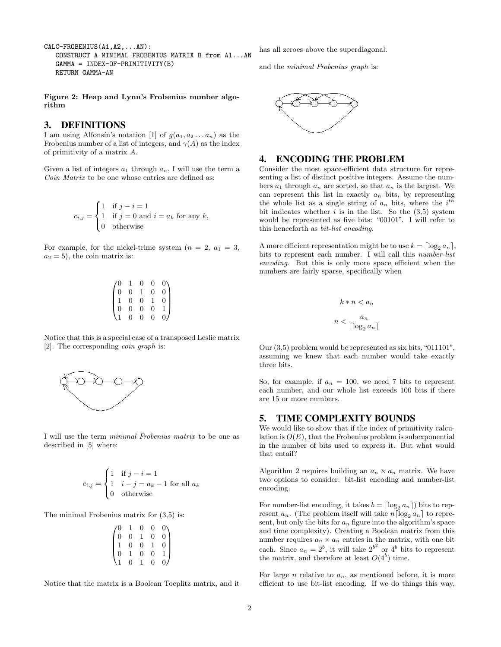CALC-FROBENIUS(A1,A2,...AN): CONSTRUCT A MINIMAL FROBENIUS MATRIX B from A1...AN GAMMA = INDEX-OF-PRIMITIVITY(B) RETURN GAMMA-AN

Figure 2: Heap and Lynn's Frobenius number algorithm

# 3. DEFINITIONS

I am using Alfonsín's notation [1] of  $g(a_1, a_2 ... a_n)$  as the Frobenius number of a list of integers, and  $\gamma(A)$  as the index of primitivity of a matrix A.

Given a list of integers  $a_1$  through  $a_n$ , I will use the term a Coin Matrix to be one whose entries are defined as:

$$
c_{i,j} = \begin{cases} 1 & \text{if } j - i = 1 \\ 1 & \text{if } j = 0 \text{ and } i = a_k \text{ for any } k, \\ 0 & \text{otherwise} \end{cases}
$$

For example, for the nickel-trime system  $(n = 2, a_1 = 3,$  $a_2 = 5$ , the coin matrix is:

$$
\begin{pmatrix} 0 & 1 & 0 & 0 & 0 \\ 0 & 0 & 1 & 0 & 0 \\ 1 & 0 & 0 & 1 & 0 \\ 0 & 0 & 0 & 0 & 1 \\ 1 & 0 & 0 & 0 & 0 \end{pmatrix}
$$

Notice that this is a special case of a transposed Leslie matrix [2]. The corresponding coin graph is:



I will use the term minimal Frobenius matrix to be one as described in [5] where:

$$
c_{i,j} = \begin{cases} 1 & \text{if } j - i = 1 \\ 1 & i - j = a_k - 1 \text{ for all } a_k \\ 0 & \text{otherwise} \end{cases}
$$

The minimal Frobenius matrix for (3,5) is:

| 0              |                  |                                               | $\overline{0}$ | 0              |
|----------------|------------------|-----------------------------------------------|----------------|----------------|
| $\check{0}$    | $\boldsymbol{0}$ | $\begin{smallmatrix}0\\1\\0\end{smallmatrix}$ | $\overline{0}$ | $\bar{0}$      |
|                | $\overline{0}$   |                                               |                | $\overline{0}$ |
| $\overline{0}$ |                  | $\frac{1}{0}$                                 | $\overline{0}$ |                |
|                | $\overline{0}$   |                                               | $\overline{0}$ |                |

Notice that the matrix is a Boolean Toeplitz matrix, and it

has all zeroes above the superdiagonal.

and the minimal Frobenius graph is:



# 4. ENCODING THE PROBLEM

Consider the most space-efficient data structure for representing a list of distinct positive integers. Assume the numbers  $a_1$  through  $a_n$  are sorted, so that  $a_n$  is the largest. We can represent this list in exactly  $a_n$  bits, by representing the whole list as a single string of  $a_n$  bits, where the  $i^{th}$ bit indicates whether  $i$  is in the list. So the (3,5) system would be represented as five bits: "00101". I will refer to this henceforth as bit-list encoding.

A more efficient representation might be to use  $k = \lceil \log_2 a_n \rceil$ , bits to represent each number. I will call this number-list encoding. But this is only more space efficient when the numbers are fairly sparse, specifically when

$$
k * n < a_n
$$
\n
$$
n < \frac{a_n}{\lceil \log_2 a_n \rceil}
$$

Our (3,5) problem would be represented as six bits, "011101", assuming we knew that each number would take exactly three bits.

So, for example, if  $a_n = 100$ , we need 7 bits to represent each number, and our whole list exceeds 100 bits if there are 15 or more numbers.

# 5. TIME COMPLEXITY BOUNDS

We would like to show that if the index of primitivity calculation is  $O(E)$ , that the Frobenius problem is subexponential in the number of bits used to express it. But what would that entail?

Algorithm 2 requires building an  $a_n \times a_n$  matrix. We have two options to consider: bit-list encoding and number-list encoding.

For number-list encoding, it takes  $b = \lceil \log_2 a_n \rceil$  bits to represent  $a_n$ . (The problem itself will take  $n\lceil \log_2 a_n \rceil$  to represent, but only the bits for  $a_n$  figure into the algorithm's space and time complexity). Creating a Boolean matrix from this number requires  $a_n \times a_n$  entries in the matrix, with one bit each. Since  $a_n = 2^b$ , it will take  $2^{b^2}$  or  $4^b$  bits to represent the matrix, and therefore at least  $O(4^b)$  time.

For large *n* relative to  $a_n$ , as mentioned before, it is more efficient to use bit-list encoding. If we do things this way,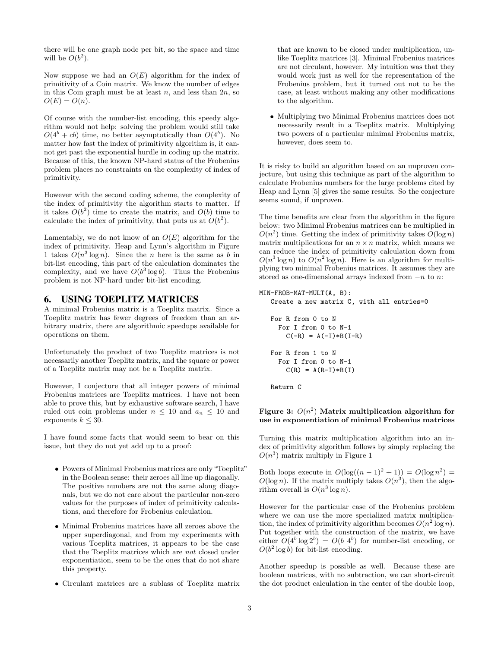there will be one graph node per bit, so the space and time will be  $O(b^2)$ .

Now suppose we had an  $O(E)$  algorithm for the index of primitivity of a Coin matrix. We know the number of edges in this Coin graph must be at least  $n$ , and less than  $2n$ , so  $O(E) = O(n)$ .

Of course with the number-list encoding, this speedy algorithm would not help: solving the problem would still take  $O(4^b + cb)$  time, no better asymptotically than  $O(4^b)$ . No matter how fast the index of primitivity algorithm is, it cannot get past the exponential hurdle in coding up the matrix. Because of this, the known NP-hard status of the Frobenius problem places no constraints on the complexity of index of primitivity.

However with the second coding scheme, the complexity of the index of primitivity the algorithm starts to matter. If it takes  $O(b^2)$  time to create the matrix, and  $O(b)$  time to calculate the index of primitivity, that puts us at  $O(b^2)$ .

Lamentably, we do not know of an  $O(E)$  algorithm for the index of primitivity. Heap and Lynn's algorithm in Figure 1 takes  $O(n^3 \log n)$ . Since the n here is the same as b in bit-list encoding, this part of the calculation dominates the complexity, and we have  $O(b^3 \log b)$ . Thus the Frobenius problem is not NP-hard under bit-list encoding.

## 6. USING TOEPLITZ MATRICES

A minimal Frobenius matrix is a Toeplitz matrix. Since a Toeplitz matrix has fewer degrees of freedom than an arbitrary matrix, there are algorithmic speedups available for operations on them.

Unfortunately the product of two Toeplitz matrices is not necessarily another Toeplitz matrix, and the square or power of a Toeplitz matrix may not be a Toeplitz matrix.

However, I conjecture that all integer powers of minimal Frobenius matrices are Toeplitz matrices. I have not been able to prove this, but by exhaustive software search, I have ruled out coin problems under  $n \leq 10$  and  $a_n \leq 10$  and exponents  $k \leq 30$ .

I have found some facts that would seem to bear on this issue, but they do not yet add up to a proof:

- Powers of Minimal Frobenius matrices are only "Toeplitz" in the Boolean sense: their zeroes all line up diagonally. The positive numbers are not the same along diagonals, but we do not care about the particular non-zero values for the purposes of index of primitivity calculations, and therefore for Frobenius calculation.
- Minimal Frobenius matrices have all zeroes above the upper superdiagonal, and from my experiments with various Toeplitz matrices, it appears to be the case that the Toeplitz matrices which are not closed under exponentiation, seem to be the ones that do not share this property.
- Circulant matrices are a sublass of Toeplitz matrix

that are known to be closed under multiplication, unlike Toeplitz matrices [3]. Minimal Frobenius matrices are not circulant, however. My intuition was that they would work just as well for the representation of the Frobenius problem, but it turned out not to be the case, at least without making any other modifications to the algorithm.

• Multiplying two Minimal Frobenius matrices does not necessarily result in a Toeplitz matrix. Multiplying two powers of a particular minimal Frobenius matrix, however, does seem to.

It is risky to build an algorithm based on an unproven conjecture, but using this technique as part of the algorithm to calculate Frobenius numbers for the large problems cited by Heap and Lynn [5] gives the same results. So the conjecture seems sound, if unproven.

The time benefits are clear from the algorithm in the figure below: two Minimal Frobenius matrices can be multiplied in  $O(n^2)$  time. Getting the index of primitivity takes  $O(\log n)$ matrix multiplications for an  $n \times n$  matrix, which means we can reduce the index of primitivity calculation down from  $O(n^3 \log n)$  to  $O(n^2 \log n)$ . Here is an algorithm for multiplying two minimal Frobenius matrices. It assumes they are stored as one-dimensional arrays indexed from  $-n$  to n:

#### MIN-FROB-MAT-MULT(A, B):

Create a new matrix C, with all entries=0 For R from 0 to N For I from 0 to N-1  $C(-R) = A(-I) * B(I-R)$ For R from 1 to N For I from 0 to N-1  $C(R) = A(R-I) * B(I)$ 

Return C

## Figure 3:  $O(n^2)$  Matrix multiplication algorithm for use in exponentiation of minimal Frobenius matrices

Turning this matrix multiplication algorithm into an index of primitivity algorithm follows by simply replacing the  $O(n^3)$  matrix multiply in Figure 1

Both loops execute in  $O(\log((n-1)^2+1)) = O(\log n^2) =$  $O(\log n)$ . If the matrix multiply takes  $O(n^3)$ , then the algorithm overall is  $O(n^3 \log n)$ .

However for the particular case of the Frobenius problem where we can use the more specialized matrix multiplication, the index of primitivity algorithm becomes  $O(n^2 \log n)$ . Put together with the construction of the matrix, we have either  $O(4^b \log 2^b) = O(b \ 4^b)$  for number-list encoding, or  $O(b^2 \log b)$  for bit-list encoding.

Another speedup is possible as well. Because these are boolean matrices, with no subtraction, we can short-circuit the dot product calculation in the center of the double loop,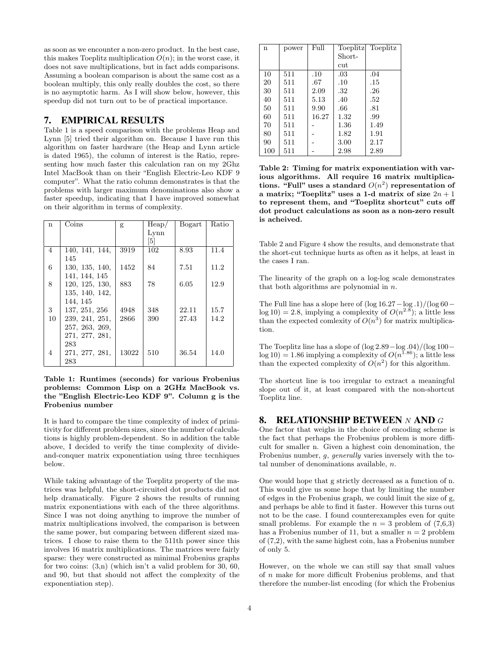as soon as we encounter a non-zero product. In the best case, this makes Toeplitz multiplication  $O(n)$ ; in the worst case, it does not save multiplications, but in fact adds comparisons. Assuming a boolean comparison is about the same cost as a boolean multiply, this only really doubles the cost, so there is no asymptotic harm. As I will show below, however, this speedup did not turn out to be of practical importance.

## 7. EMPIRICAL RESULTS

Table 1 is a speed comparison with the problems Heap and Lynn [5] tried their algorithm on. Because I have run this algorithm on faster hardware (the Heap and Lynn article is dated 1965), the column of interest is the Ratio, representing how much faster this calculation ran on my 2Ghz Intel MacBook than on their "English Electric-Leo KDF 9 computer". What the ratio column demonstrates is that the problems with larger maximum denominations also show a faster speedup, indicating that I have improved somewhat on their algorithm in terms of complexity.

| $\mathbf{n}$ | $\overline{\mathrm{Coins}}$ | g     | Heap/ | Bogart | Ratio |
|--------------|-----------------------------|-------|-------|--------|-------|
|              |                             |       | Lynn  |        |       |
|              |                             |       | $[5]$ |        |       |
| 4            | 140, 141, 144,              | 3919  | 102   | 8.93   | 11.4  |
|              | 145                         |       |       |        |       |
| 6            | 130, 135, 140,              | 1452  | 84    | 7.51   | 11.2  |
|              | 141, 144, 145               |       |       |        |       |
| 8            | 120, 125, 130,              | 883   | 78    | 6.05   | 12.9  |
|              | 135, 140, 142,              |       |       |        |       |
|              | 144, 145                    |       |       |        |       |
| 3            | 137, 251, 256               | 4948  | 348   | 22.11  | 15.7  |
| 10           | 239, 241, 251,              | 2866  | 390   | 27.43  | 14.2  |
|              | 257, 263, 269,              |       |       |        |       |
|              | 271, 277, 281,              |       |       |        |       |
|              | 283                         |       |       |        |       |
| 4            | 271, 277, 281,              | 13022 | 510   | 36.54  | 14.0  |
|              | 283                         |       |       |        |       |

Table 1: Runtimes (seconds) for various Frobenius problems: Common Lisp on a 2GHz MacBook vs. the "English Electric-Leo KDF 9". Column g is the Frobenius number

It is hard to compare the time complexity of index of primitivity for different problem sizes, since the number of calculations is highly problem-dependent. So in addition the table above, I decided to verify the time complexity of divideand-conquer matrix exponentiation using three tecnhiques below.

While taking advantage of the Toeplitz property of the matrices was helpful, the short-circuited dot products did not help dramatically. Figure 2 shows the results of running matrix exponentiations with each of the three algorithms. Since I was not doing anything to improve the number of matrix multiplications involved, the comparison is between the same power, but comparing between different sized matrices. I chose to raise them to the 511th power since this involves 16 matrix multiplications. The matrices were fairly sparse: they were constructed as minimal Frobenius graphs for two coins:  $(3,n)$  (which isn't a valid problem for 30, 60, and 90, but that should not affect the complexity of the exponentiation step).

| n   | power | Full  | Toeplitz | Toeplitz |
|-----|-------|-------|----------|----------|
|     |       |       | Short-   |          |
|     |       |       | cut      |          |
| 10  | 511   | .10   | .03      | .04      |
| 20  | 511   | .67   | .10      | .15      |
| 30  | 511   | 2.09  | .32      | .26      |
| 40  | 511   | 5.13  | .40      | .52      |
| 50  | 511   | 9.90  | .66      | .81      |
| 60  | 511   | 16.27 | 1.32     | .99      |
| 70  | 511   |       | 1.36     | 1.49     |
| 80  | 511   |       | 1.82     | 1.91     |
| 90  | 511   |       | 3.00     | 2.17     |
| 100 | 511   |       | 2.98     | 2.89     |

Table 2: Timing for matrix exponentiation with various algorithms. All require 16 matrix multiplications. "Full" uses a standard  $O(n^2)$  representation of a matrix; "Toeplitz" uses a 1-d matrix of size  $2n + 1$ to represent them, and "Toeplitz shortcut" cuts off dot product calculations as soon as a non-zero result is acheived.

Table 2 and Figure 4 show the results, and demonstrate that the short-cut technique hurts as often as it helps, at least in the cases I ran.

The linearity of the graph on a log-log scale demonstrates that both algorithms are polynomial in  $n$ .

The Full line has a slope here of  $(\log 16.27 - \log 0.1)/(\log 60$  $log 10$  = 2.8, implying a complexity of  $O(n^{2.8})$ ; a little less than the expected comlexity of  $O(n^3)$  for matrix multiplication.

The Toeplitz line has a slope of (log 2.89−log .04)/(log 100−  $log 10$  = 1.86 implying a complexity of  $O(n^{1.86})$ ; a little less than the expected complexity of  $O(n^2)$  for this algorithm.

The shortcut line is too irregular to extract a meaningful slope out of it, at least compared with the non-shortcut Toeplitz line.

# 8. RELATIONSHIP BETWEEN N AND  $G$

One factor that weighs in the choice of encoding scheme is the fact that perhaps the Frobenius problem is more difficult for smaller n. Given a highest coin denomination, the Frobenius number, g, generally varies inversely with the total number of denominations available, n.

One would hope that g strictly decreased as a function of n. This would give us some hope that by limiting the number of edges in the Frobenius graph, we could limit the size of g, and perhaps be able to find it faster. However this turns out not to be the case. I found counterexamples even for quite small problems. For example the  $n = 3$  problem of  $(7,6,3)$ has a Frobenius number of 11, but a smaller  $n = 2$  problem of (7,2), with the same highest coin, has a Frobenius number of only 5.

However, on the whole we can still say that small values of n make for more difficult Frobenius problems, and that therefore the number-list encoding (for which the Frobenius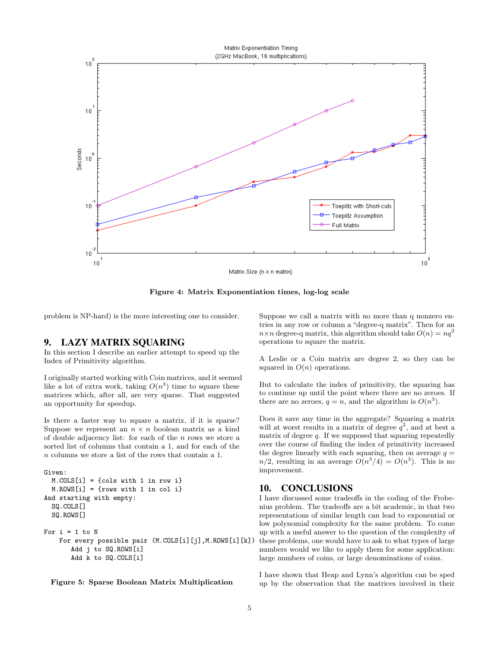

Matrix Size (n x n matrix)

Figure 4: Matrix Exponentiation times, log-log scale

problem is NP-hard) is the more interesting one to consider.

#### 9. LAZY MATRIX SQUARING

In this section I describe an earlier attempt to speed up the Index of Primitivity algorithm.

I originally started working with Coin matrices, and it seemed like a lot of extra work, taking  $O(n^3)$  time to square these matrices which, after all, are very sparse. That suggested an opportunity for speedup.

Is there a faster way to square a matrix, if it is sparse? Suppose we represent an  $n \times n$  boolean matrix as a kind of double adjacency list: for each of the  $n$  rows we store a sorted list of columns that contain a 1, and for each of the n columns we store a list of the rows that contain a 1.

```
Given:
 M.COLS[i] = {cols with 1 in row i}
 M.ROWS[i] = {rows with 1 in col i}
And starting with empty:
 SQ.COLS[]
 SQ.ROWS[]
For i = 1 to NFor every possible pair (M.COLS[i][j],M.ROWS[i][k])
       Add j to SQ.ROWS[i]
       Add k to SQ.COLS[i]
```
Figure 5: Sparse Boolean Matrix Multiplication

Suppose we call a matrix with no more than q nonzero entries in any row or column a "degree-q matrix". Then for an  $n \times n$  degree-q matrix, this algorithm should take  $O(n) = nq^2$ operations to square the matrix.

A Leslie or a Coin matrix are degree 2, so they can be squared in  $O(n)$  operations.

But to calculate the index of primitivity, the squaring has to continue up until the point where there are no zeroes. If there are no zeroes,  $q = n$ , and the algorithm is  $O(n^3)$ .

Does it save any time in the aggregate? Squaring a matrix will at worst results in a matrix of degree  $q^2$ , and at best a matrix of degree  $q$ . If we supposed that squaring repeatedly over the course of finding the index of primitivity increased the degree linearly with each squaring, then on average  $q =$  $n/2$ , resulting in an average  $O(n^3/4) = O(n^3)$ . This is no improvement.

## 10. CONCLUSIONS

I have discussed some tradeoffs in the coding of the Frobenius problem. The tradeoffs are a bit academic, in that two representations of similar length can lead to exponential or low polynomial complexity for the same problem. To come up with a useful answer to the question of the complexity of these problems, one would have to ask to what types of large numbers would we like to apply them for some application: large numbers of coins, or large denominations of coins.

I have shown that Heap and Lynn's algorithm can be sped up by the observation that the matrices involved in their